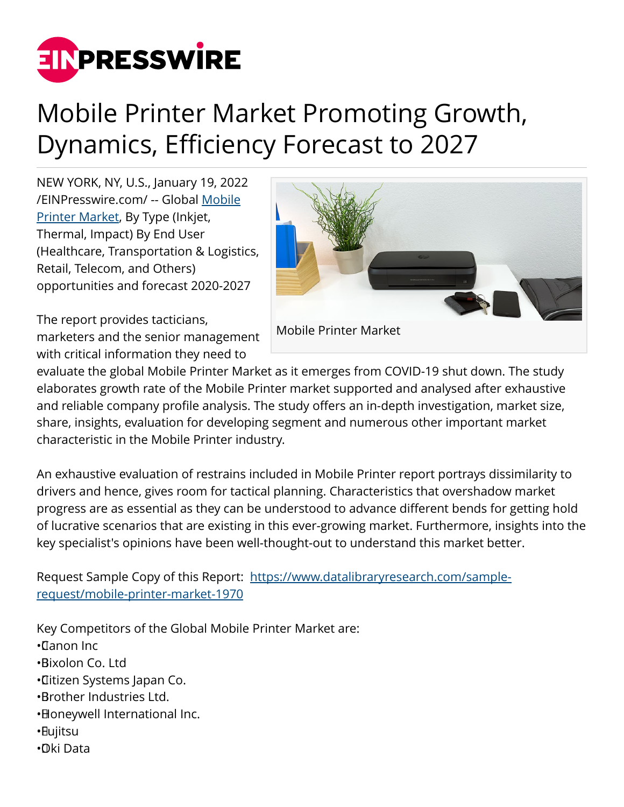

# Mobile Printer Market Promoting Growth, Dynamics, Efficiency Forecast to 2027

NEW YORK, NY, U.S., January 19, 2022 [/EINPresswire.com/](http://www.einpresswire.com) -- Global [Mobile](https://www.datalibraryresearch.com/reports/mobile-printer-market-1970) [Printer Market,](https://www.datalibraryresearch.com/reports/mobile-printer-market-1970) By Type (Inkjet, Thermal, Impact) By End User (Healthcare, Transportation & Logistics, Retail, Telecom, and Others) opportunities and forecast 2020-2027



The report provides tacticians, marketers and the senior management with critical information they need to

evaluate the global Mobile Printer Market as it emerges from COVID-19 shut down. The study elaborates growth rate of the Mobile Printer market supported and analysed after exhaustive and reliable company profile analysis. The study offers an in-depth investigation, market size, share, insights, evaluation for developing segment and numerous other important market characteristic in the Mobile Printer industry.

An exhaustive evaluation of restrains included in Mobile Printer report portrays dissimilarity to drivers and hence, gives room for tactical planning. Characteristics that overshadow market progress are as essential as they can be understood to advance different bends for getting hold of lucrative scenarios that are existing in this ever-growing market. Furthermore, insights into the key specialist's opinions have been well-thought-out to understand this market better.

Request Sample Copy of this Report: [https://www.datalibraryresearch.com/sample](https://www.datalibraryresearch.com/sample-request/mobile-printer-market-1970)[request/mobile-printer-market-1970](https://www.datalibraryresearch.com/sample-request/mobile-printer-market-1970)

Key Competitors of the Global Mobile Printer Market are:

- • Canon Inc
- • Bixolon Co. Ltd
- • Citizen Systems Japan Co.
- • Brother Industries Ltd.
- Honeywell International Inc.
- • Fujitsu
- • Oki Data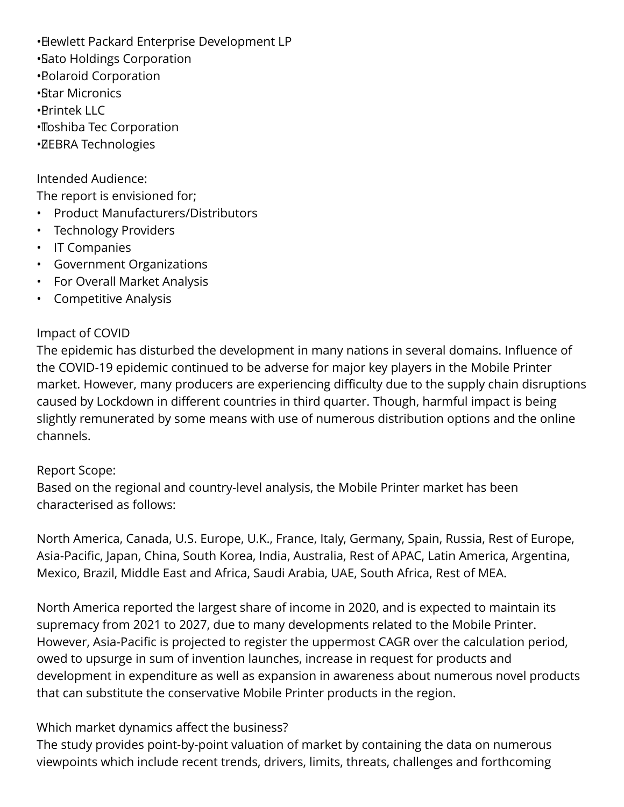- • Hewlett Packard Enterprise Development LP
- • Sato Holdings Corporation
- • Polaroid Corporation
- • Star Micronics
- • Printek LLC
- • Toshiba Tec Corporation
- • ZEBRA Technologies

Intended Audience:

The report is envisioned for;

- Product Manufacturers/Distributors
- Technology Providers
- IT Companies
- Government Organizations
- For Overall Market Analysis
- Competitive Analysis

## Impact of COVID

The epidemic has disturbed the development in many nations in several domains. Influence of the COVID-19 epidemic continued to be adverse for major key players in the Mobile Printer market. However, many producers are experiencing difficulty due to the supply chain disruptions caused by Lockdown in different countries in third quarter. Though, harmful impact is being slightly remunerated by some means with use of numerous distribution options and the online channels.

## Report Scope:

Based on the regional and country-level analysis, the Mobile Printer market has been characterised as follows:

North America, Canada, U.S. Europe, U.K., France, Italy, Germany, Spain, Russia, Rest of Europe, Asia-Pacific, Japan, China, South Korea, India, Australia, Rest of APAC, Latin America, Argentina, Mexico, Brazil, Middle East and Africa, Saudi Arabia, UAE, South Africa, Rest of MEA.

North America reported the largest share of income in 2020, and is expected to maintain its supremacy from 2021 to 2027, due to many developments related to the Mobile Printer. However, Asia-Pacific is projected to register the uppermost CAGR over the calculation period, owed to upsurge in sum of invention launches, increase in request for products and development in expenditure as well as expansion in awareness about numerous novel products that can substitute the conservative Mobile Printer products in the region.

# Which market dynamics affect the business?

The study provides point-by-point valuation of market by containing the data on numerous viewpoints which include recent trends, drivers, limits, threats, challenges and forthcoming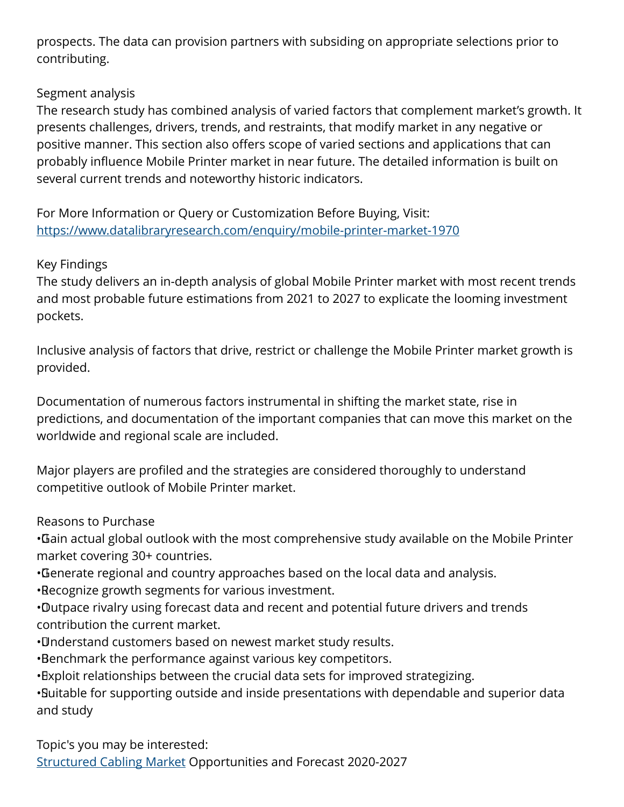prospects. The data can provision partners with subsiding on appropriate selections prior to contributing.

## Segment analysis

The research study has combined analysis of varied factors that complement market's growth. It presents challenges, drivers, trends, and restraints, that modify market in any negative or positive manner. This section also offers scope of varied sections and applications that can probably influence Mobile Printer market in near future. The detailed information is built on several current trends and noteworthy historic indicators.

For More Information or Query or Customization Before Buying, Visit: <https://www.datalibraryresearch.com/enquiry/mobile-printer-market-1970>

### Key Findings

The study delivers an in-depth analysis of global Mobile Printer market with most recent trends and most probable future estimations from 2021 to 2027 to explicate the looming investment pockets.

Inclusive analysis of factors that drive, restrict or challenge the Mobile Printer market growth is provided.

Documentation of numerous factors instrumental in shifting the market state, rise in predictions, and documentation of the important companies that can move this market on the worldwide and regional scale are included.

Major players are profiled and the strategies are considered thoroughly to understand competitive outlook of Mobile Printer market.

### Reasons to Purchase

• Gain actual global outlook with the most comprehensive study available on the Mobile Printer market covering 30+ countries.

- • Generate regional and country approaches based on the local data and analysis.
- • Recognize growth segments for various investment.

• Outpace rivalry using forecast data and recent and potential future drivers and trends contribution the current market.

- • Understand customers based on newest market study results.
- • Benchmark the performance against various key competitors.
- Exploit relationships between the crucial data sets for improved strategizing.

• Suitable for supporting outside and inside presentations with dependable and superior data and study

Topic's you may be interested: [Structured Cabling Market](https://www.datalibraryresearch.com/reports/structured-cabling-market-1974) Opportunities and Forecast 2020-2027